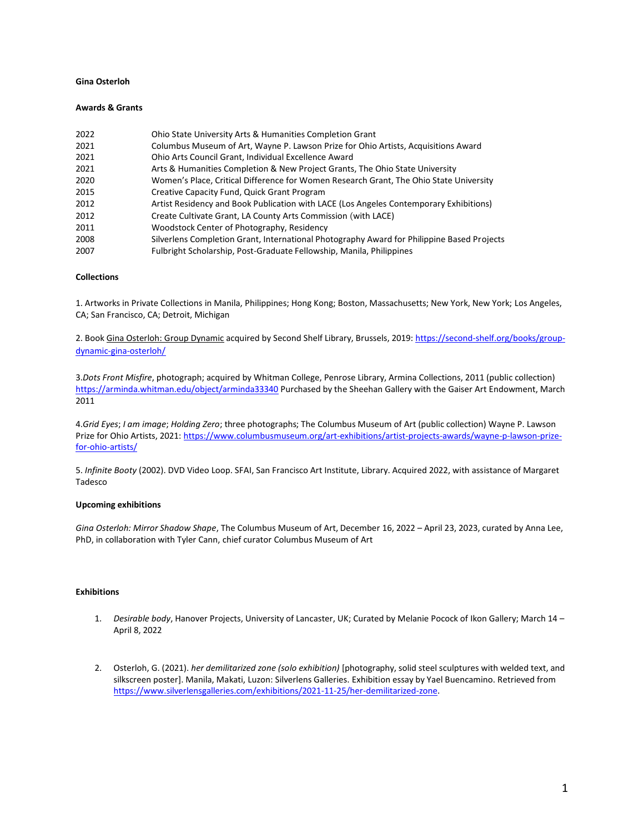## **Gina Osterloh**

#### **Awards & Grants**

| 2022 | Ohio State University Arts & Humanities Completion Grant                                   |
|------|--------------------------------------------------------------------------------------------|
| 2021 | Columbus Museum of Art, Wayne P. Lawson Prize for Ohio Artists, Acquisitions Award         |
| 2021 | Ohio Arts Council Grant, Individual Excellence Award                                       |
| 2021 | Arts & Humanities Completion & New Project Grants, The Ohio State University               |
| 2020 | Women's Place, Critical Difference for Women Research Grant, The Ohio State University     |
| 2015 | Creative Capacity Fund, Quick Grant Program                                                |
| 2012 | Artist Residency and Book Publication with LACE (Los Angeles Contemporary Exhibitions)     |
| 2012 | Create Cultivate Grant, LA County Arts Commission (with LACE)                              |
| 2011 | Woodstock Center of Photography, Residency                                                 |
| 2008 | Silverlens Completion Grant, International Photography Award for Philippine Based Projects |
| 2007 | Fulbright Scholarship, Post-Graduate Fellowship, Manila, Philippines                       |

## **Collections**

1. Artworks in Private Collections in Manila, Philippines; Hong Kong; Boston, Massachusetts; New York, New York; Los Angeles, CA; San Francisco, CA; Detroit, Michigan

2. Book Gina Osterloh: Group Dynamic acquired by Second Shelf Library, Brussels, 2019: [https://second-shelf.org/books/group](https://second-shelf.org/books/group-dynamic-gina-osterloh/)[dynamic-gina-osterloh/](https://second-shelf.org/books/group-dynamic-gina-osterloh/)

3.*Dots Front Misfire*, photograph; acquired by Whitman College, Penrose Library, Armina Collections, 2011 (public collection) <https://arminda.whitman.edu/object/arminda33340> Purchased by the Sheehan Gallery with the Gaiser Art Endowment, March 2011

4.*Grid Eyes*; *I am image*; *Holding Zero*; three photographs; The Columbus Museum of Art (public collection) Wayne P. Lawson Prize for Ohio Artists, 2021[: https://www.columbusmuseum.org/art-exhibitions/artist-projects-awards/wayne-p-lawson-prize](https://www.columbusmuseum.org/art-exhibitions/artist-projects-awards/wayne-p-lawson-prize-for-ohio-artists/)[for-ohio-artists/](https://www.columbusmuseum.org/art-exhibitions/artist-projects-awards/wayne-p-lawson-prize-for-ohio-artists/)

5. *Infinite Booty* (2002). DVD Video Loop. SFAI, San Francisco Art Institute, Library. Acquired 2022, with assistance of Margaret Tadesco

### **Upcoming exhibitions**

*Gina Osterloh: Mirror Shadow Shape*, The Columbus Museum of Art, December 16, 2022 – April 23, 2023, curated by Anna Lee, PhD, in collaboration with Tyler Cann, chief curator Columbus Museum of Art

## **Exhibitions**

- 1. *Desirable body*, Hanover Projects, University of Lancaster, UK; Curated by Melanie Pocock of Ikon Gallery; March 14 April 8, 2022
- 2. Osterloh, G. (2021). *her demilitarized zone (solo exhibition)* [photography, solid steel sculptures with welded text, and silkscreen poster]. Manila, Makati, Luzon: Silverlens Galleries. Exhibition essay by Yael Buencamino. Retrieved from [https://www.silverlensgalleries.com/exhibitions/2021-11-25/her-demilitarized-zone.](https://www.silverlensgalleries.com/exhibitions/2021-11-25/her-demilitarized-zone)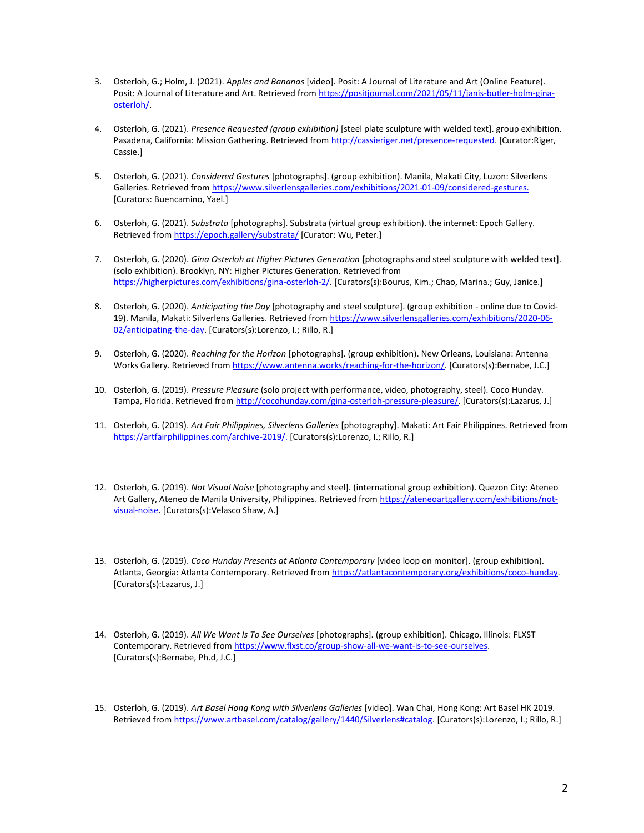- 3. Osterloh, G.; Holm, J. (2021). *Apples and Bananas* [video]. Posit: A Journal of Literature and Art (Online Feature). Posit: A Journal of Literature and Art. Retrieved fro[m https://positjournal.com/2021/05/11/janis-butler-holm-gina](https://positjournal.com/2021/05/11/janis-butler-holm-gina-osterloh/)[osterloh/.](https://positjournal.com/2021/05/11/janis-butler-holm-gina-osterloh/)
- 4. Osterloh, G. (2021). *Presence Requested (group exhibition)* [steel plate sculpture with welded text]. group exhibition. Pasadena, California: Mission Gathering. Retrieved from [http://cassieriger.net/presence-requested.](http://cassieriger.net/presence-requested) [Curator:Riger, Cassie.]
- 5. Osterloh, G. (2021). *Considered Gestures* [photographs]. (group exhibition). Manila, Makati City, Luzon: Silverlens Galleries. Retrieved fro[m https://www.silverlensgalleries.com/exhibitions/2021-01-09/considered-gestures.](https://www.silverlensgalleries.com/exhibitions/2021-01-09/considered-gestures) [Curators: Buencamino, Yael.]
- 6. Osterloh, G. (2021). *Substrata* [photographs]. Substrata (virtual group exhibition). the internet: Epoch Gallery. Retrieved fro[m https://epoch.gallery/substrata/](https://epoch.gallery/substrata/) [Curator: Wu, Peter.]
- 7. Osterloh, G. (2020). *Gina Osterloh at Higher Pictures Generation* [photographs and steel sculpture with welded text]. (solo exhibition). Brooklyn, NY: Higher Pictures Generation. Retrieved from [https://higherpictures.com/exhibitions/gina-osterloh-2/.](https://higherpictures.com/exhibitions/gina-osterloh-2/) [Curators(s):Bourus, Kim.; Chao, Marina.; Guy, Janice.]
- 8. Osterloh, G. (2020). *Anticipating the Day* [photography and steel sculpture]. (group exhibition online due to Covid19). Manila, Makati: Silverlens Galleries. Retrieved fro[m https://www.silverlensgalleries.com/exhibitions/2020-06-](https://www.antenna.works/reaching-for-the-horizon/) [02/anticipating-the-day.](https://www.antenna.works/reaching-for-the-horizon/) [Curators(s):Lorenzo, I.; Rillo, R.]
- 9. Osterloh, G. (2020). *Reaching for the Horizon* [photographs]. (group exhibition). New Orleans, Louisiana: Antenna Works Gallery. Retrieved fro[m https://www.antenna.works/reaching-for-the-horizon/.](https://www.antenna.works/reaching-for-the-horizon/) [Curators(s):Bernabe, J.C.]
- 10. Osterloh, G. (2019). *Pressure Pleasure* (solo project with performance, video, photography, steel). Coco Hunday. Tampa, Florida. Retrieved fro[m http://cocohunday.com/gina-osterloh-pressure-pleasure/.](http://cocohunday.com/gina-osterloh-pressure-pleasure/) [Curators(s):Lazarus, J.]
- 11. Osterloh, G. (2019). *Art Fair Philippines, Silverlens Galleries* [photography]. Makati: Art Fair Philippines. Retrieved from [https://artfairphilippines.com/archive-2019/.](https://artfairphilippines.com/archive-2019/) [Curators(s):Lorenzo, I.; Rillo, R.]
- 12. Osterloh, G. (2019). *Not Visual Noise* [photography and steel]. (international group exhibition). Quezon City: Ateneo Art Gallery, Ateneo de Manila University, Philippines. Retrieved fro[m https://ateneoartgallery.com/exhibitions/not](https://ateneoartgallery.com/exhibitions/not-visual-noise)[visual-noise.](https://ateneoartgallery.com/exhibitions/not-visual-noise) [Curators(s):Velasco Shaw, A.]
- 13. Osterloh, G. (2019). *Coco Hunday Presents at Atlanta Contemporary* [video loop on monitor]. (group exhibition). Atlanta, Georgia: Atlanta Contemporary. Retrieved fro[m https://atlantacontemporary.org/exhibitions/coco-hunday.](https://atlantacontemporary.org/exhibitions/coco-hunday) [Curators(s):Lazarus, J.]
- 14. Osterloh, G. (2019). *All We Want Is To See Ourselves* [photographs]. (group exhibition). Chicago, Illinois: FLXST Contemporary. Retrieved from https://www.flxst.co/group-show-all-we-want-is-to-see-ourselves. [Curators(s):Bernabe, Ph.d, J.C.]
- 15. Osterloh, G. (2019). *Art Basel Hong Kong with Silverlens Galleries* [video]. Wan Chai, Hong Kong: Art Basel HK 2019. Retrieved fro[m https://www.artbasel.com/catalog/gallery/1440/Silverlens#catalog.](https://www.artbasel.com/catalog/gallery/1440/Silverlens#catalog) [Curators(s):Lorenzo, I.; Rillo, R.]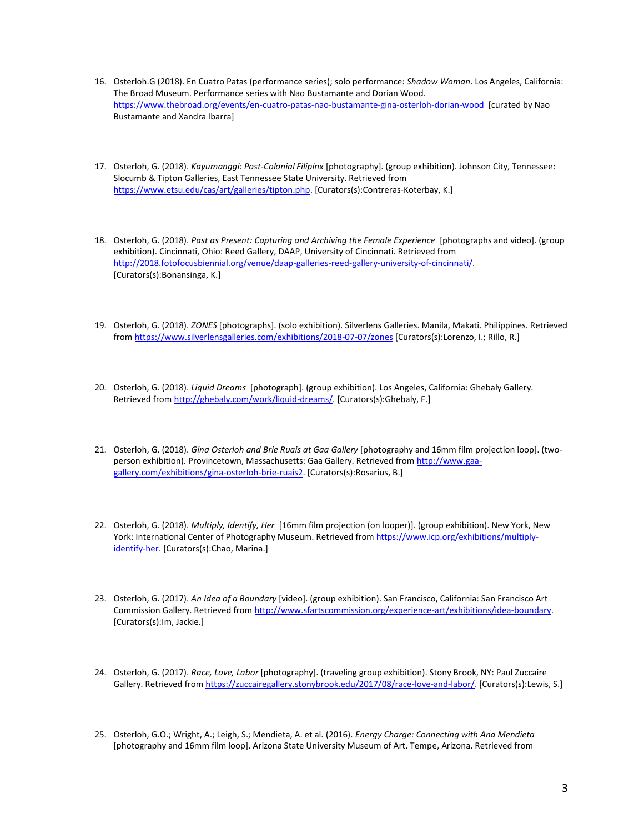- 16. Osterloh.G (2018). En Cuatro Patas (performance series); solo performance: *Shadow Woman*. Los Angeles, California: The Broad Museum. Performance series with Nao Bustamante and Dorian Wood. [https://www.thebroad.org/events/en-cuatro-patas-nao-bustamante-gina-osterloh-dorian-wood \[](https://www.thebroad.org/events/en-cuatro-patas-nao-bustamante-gina-osterloh-dorian-wood)curated by Nao Bustamante and Xandra Ibarra]
- 17. Osterloh, G. (2018). *Kayumanggi: Post-Colonial Filipinx* [photography]. (group exhibition). Johnson City, Tennessee: Slocumb & Tipton Galleries, East Tennessee State University. Retrieved from [https://www.etsu.edu/cas/art/galleries/tipton.php.](https://www.etsu.edu/cas/art/galleries/tipton.php) [Curators(s):Contreras-Koterbay, K.]
- 18. Osterloh, G. (2018). *Past as Present: Capturing and Archiving the Female Experience* [photographs and video]. (group exhibition). Cincinnati, Ohio: Reed Gallery, DAAP, University of Cincinnati. Retrieved from [http://2018.fotofocusbiennial.org/venue/daap-galleries-reed-gallery-university-of-cincinnati/.](http://2018.fotofocusbiennial.org/venue/daap-galleries-reed-gallery-university-of-cincinnati/)  [Curators(s):Bonansinga, K.]
- 19. Osterloh, G. (2018). *ZONES* [photographs]. (solo exhibition). Silverlens Galleries. Manila, Makati. Philippines. Retrieved from<https://www.silverlensgalleries.com/exhibitions/2018-07-07/zones> [Curators(s):Lorenzo, I.; Rillo, R.]
- 20. Osterloh, G. (2018). *Liquid Dreams* [photograph]. (group exhibition). Los Angeles, California: Ghebaly Gallery. Retrieved fro[m http://ghebaly.com/work/liquid-dreams/.](http://ghebaly.com/work/liquid-dreams/) [Curators(s):Ghebaly, F.]
- 21. Osterloh, G. (2018). *Gina Osterloh and Brie Ruais at Gaa Gallery* [photography and 16mm film projection loop]. (twoperson exhibition). Provincetown, Massachusetts: Gaa Gallery. Retrieved fro[m http://www.gaa](http://www.gaa-gallery.com/exhibitions/gina-osterloh-brie-ruais2)[gallery.com/exhibitions/gina-osterloh-brie-ruais2.](http://www.gaa-gallery.com/exhibitions/gina-osterloh-brie-ruais2) [Curators(s):Rosarius, B.]
- 22. Osterloh, G. (2018). *Multiply, Identify, Her* [16mm film projection (on looper)]. (group exhibition). New York, New York: International Center of Photography Museum. Retrieved fro[m https://www.icp.org/exhibitions/multiply](https://www.icp.org/exhibitions/multiply-identify-her)[identify-her.](https://www.icp.org/exhibitions/multiply-identify-her) [Curators(s): Chao, Marina.]
- 23. Osterloh, G. (2017). *An Idea of a Boundary* [video]. (group exhibition). San Francisco, California: San Francisco Art Commission Gallery. Retrieved from [http://www.sfartscommission.org/experience-art/exhibitions/idea-boundary.](http://www.sfartscommission.org/experience-art/exhibitions/idea-boundary) [Curators(s):Im, Jackie.]
- 24. Osterloh, G. (2017). *Race, Love, Labor* [photography]. (traveling group exhibition). Stony Brook, NY: Paul Zuccaire Gallery. Retrieved fro[m https://zuccairegallery.stonybrook.edu/2017/08/race-love-and-labor/.](https://zuccairegallery.stonybrook.edu/2017/08/race-love-and-labor/) [Curators(s):Lewis, S.]
- 25. Osterloh, G.O.; Wright, A.; Leigh, S.; Mendieta, A. et al. (2016). *Energy Charge: Connecting with Ana Mendieta* [photography and 16mm film loop]. Arizona State University Museum of Art. Tempe, Arizona. Retrieved from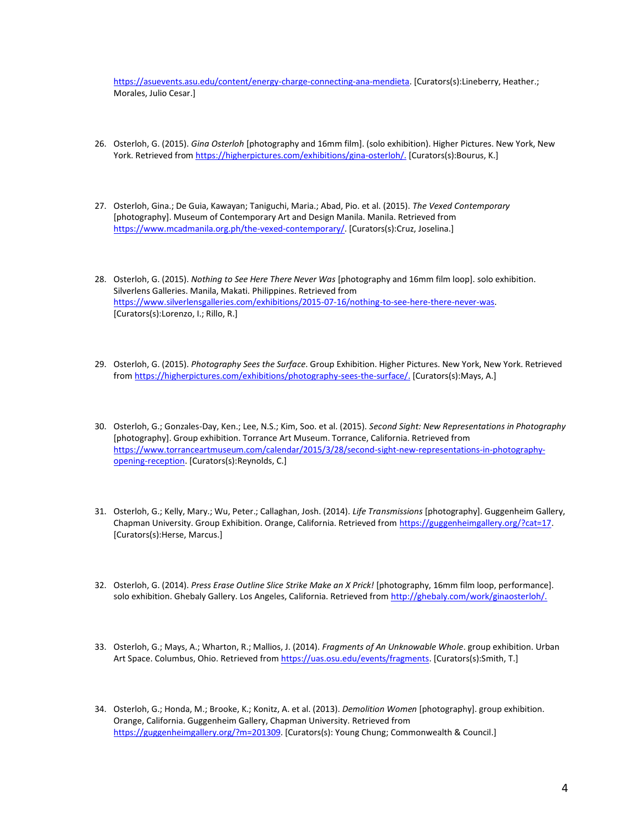[https://asuevents.asu.edu/content/energy-charge-connecting-ana-mendieta.](https://asuevents.asu.edu/content/energy-charge-connecting-ana-mendieta) [Curators(s):Lineberry, Heather.; Morales, Julio Cesar.]

- 26. Osterloh, G. (2015). *Gina Osterloh* [photography and 16mm film]. (solo exhibition). Higher Pictures. New York, New York. Retrieved from [https://higherpictures.com/exhibitions/gina-osterloh/.](https://higherpictures.com/exhibitions/gina-osterloh/) [Curators(s):Bourus, K.]
- 27. Osterloh, Gina.; De Guia, Kawayan; Taniguchi, Maria.; Abad, Pio. et al. (2015). *The Vexed Contemporary* [photography]. Museum of Contemporary Art and Design Manila. Manila. Retrieved from [https://www.mcadmanila.org.ph/the-vexed-contemporary/.](https://www.mcadmanila.org.ph/the-vexed-contemporary/) [Curators(s):Cruz, Joselina.]
- 28. Osterloh, G. (2015). *Nothing to See Here There Never Was* [photography and 16mm film loop]. solo exhibition. Silverlens Galleries. Manila, Makati. Philippines. Retrieved from [https://www.silverlensgalleries.com/exhibitions/2015-07-16/nothing-to-see-here-there-never-was.](https://www.silverlensgalleries.com/exhibitions/2015-07-16/nothing-to-see-here-there-never-was) [Curators(s):Lorenzo, I.; Rillo, R.]
- 29. Osterloh, G. (2015). *Photography Sees the Surface*. Group Exhibition. Higher Pictures. New York, New York. Retrieved from [https://higherpictures.com/exhibitions/photography-sees-the-surface/.](https://higherpictures.com/exhibitions/photography-sees-the-surface) [Curators(s):Mays, A.]
- 30. Osterloh, G.; Gonzales-Day, Ken.; Lee, N.S.; Kim, Soo. et al. (2015). *Second Sight: New Representations in Photography* [photography]. Group exhibition. Torrance Art Museum. Torrance, California. Retrieved from [https://www.torranceartmuseum.com/calendar/2015/3/28/second-sight-new-representations-in-photography](https://www.torranceartmuseum.com/calendar/2015/3/28/second-sight-new-representations-in-photography-opening-reception)[opening-reception.](https://www.torranceartmuseum.com/calendar/2015/3/28/second-sight-new-representations-in-photography-opening-reception) [Curators(s): Reynolds, C.]
- 31. Osterloh, G.; Kelly, Mary.; Wu, Peter.; Callaghan, Josh. (2014). *Life Transmissions* [photography]. Guggenheim Gallery, Chapman University. Group Exhibition. Orange, California. Retrieved fro[m https://guggenheimgallery.org/?cat=17.](https://guggenheimgallery.org/?cat=17) [Curators(s):Herse, Marcus.]
- 32. Osterloh, G. (2014). *Press Erase Outline Slice Strike Make an X Prick!* [photography, 16mm film loop, performance]. solo exhibition. Ghebaly Gallery. Los Angeles, California. Retrieved fro[m http://ghebaly.com/work/ginaosterloh/.](http://ghebaly.com/work/ginaosterloh/)
- 33. Osterloh, G.; Mays, A.; Wharton, R.; Mallios, J. (2014). *Fragments of An Unknowable Whole*. group exhibition. Urban Art Space. Columbus, Ohio. Retrieved fro[m https://uas.osu.edu/events/fragments.](https://uas.osu.edu/events/fragments) [Curators(s):Smith, T.]

<sup>34.</sup> Osterloh, G.; Honda, M.; Brooke, K.; Konitz, A. et al. (2013). *Demolition Women* [photography]. group exhibition. Orange, California. Guggenheim Gallery, Chapman University. Retrieved from [https://guggenheimgallery.org/?m=201309.](https://guggenheimgallery.org/?m=201309) [Curators(s): Young Chung; Commonwealth & Council.]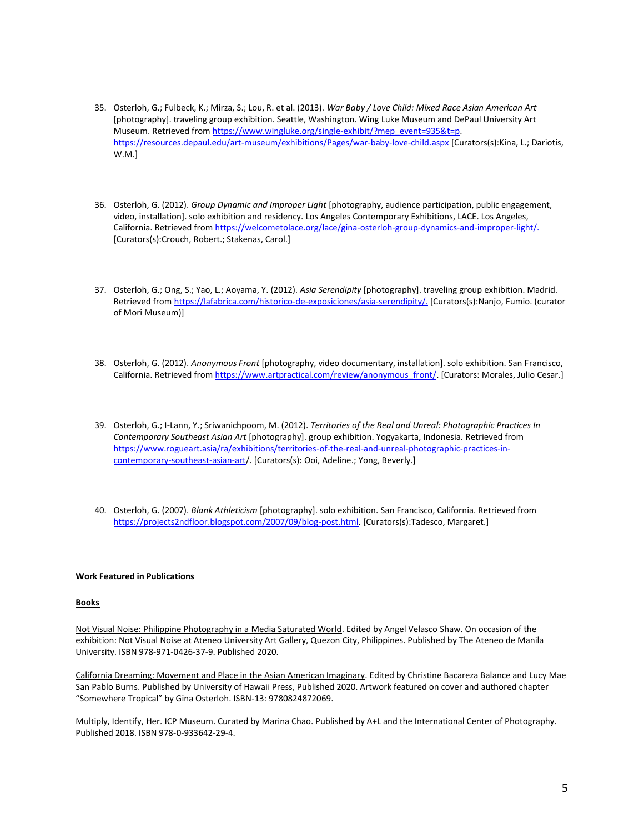- 35. Osterloh, G.; Fulbeck, K.; Mirza, S.; Lou, R. et al. (2013). *War Baby / Love Child: Mixed Race Asian American Art* [photography]. traveling group exhibition. Seattle, Washington. Wing Luke Museum and DePaul University Art Museum. Retrieved from [https://www.wingluke.org/single-exhibit/?mep\\_event=935&t=p.](https://www.wingluke.org/single-exhibit/?mep_event=935&t=p) <https://resources.depaul.edu/art-museum/exhibitions/Pages/war-baby-love-child.aspx> [Curators(s):Kina, L.; Dariotis, W.M.]
- 36. Osterloh, G. (2012). *Group Dynamic and Improper Light* [photography, audience participation, public engagement, video, installation]. solo exhibition and residency. Los Angeles Contemporary Exhibitions, LACE. Los Angeles, California. Retrieved fro[m https://welcometolace.org/lace/gina-osterloh-group-dynamics-and-improper-light/.](https://welcometolace.org/lace/gina-osterloh-group-dynamics-and-improper-light/) [Curators(s):Crouch, Robert.; Stakenas, Carol.]
- 37. Osterloh, G.; Ong, S.; Yao, L.; Aoyama, Y. (2012). *Asia Serendipity* [photography]. traveling group exhibition. Madrid. Retrieved fro[m https://lafabrica.com/historico-de-exposiciones/asia-serendipity/.](https://lafabrica.com/historico-de-exposiciones/asia-serendipity/) [Curators(s):Nanjo, Fumio. (curator of Mori Museum)]
- 38. Osterloh, G. (2012). *Anonymous Front* [photography, video documentary, installation]. solo exhibition. San Francisco, California. Retrieved fro[m https://www.artpractical.com/review/anonymous\\_front/.](https://www.artpractical.com/review/anonymous_front/) [Curators: Morales, Julio Cesar.]
- 39. Osterloh, G.; I-Lann, Y.; Sriwanichpoom, M. (2012). *Territories of the Real and Unreal: Photographic Practices In Contemporary Southeast Asian Art* [photography]. group exhibition. Yogyakarta, Indonesia. Retrieved from [https://www.rogueart.asia/ra/exhibitions/territories-of-the-real-and-unreal-photographic-practices-in](https://www.rogueart.asia/ra/exhibitions/territories-of-the-real-and-unreal-photographic-practices-in-contemporary-southeast-asian-art/)[contemporary-southeast-asian-art/](https://www.rogueart.asia/ra/exhibitions/territories-of-the-real-and-unreal-photographic-practices-in-contemporary-southeast-asian-art/). [Curators(s): Ooi, Adeline.; Yong, Beverly.]
- 40. Osterloh, G. (2007). *Blank Athleticism* [photography]. solo exhibition. San Francisco, California. Retrieved from [https://projects2ndfloor.blogspot.com/2007/09/blog-post.html.](https://projects2ndfloor.blogspot.com/2007/09/blog-post.html) [Curators(s):Tadesco, Margaret.]

# **Work Featured in Publications**

#### **Books**

Not Visual Noise: Philippine Photography in a Media Saturated World. Edited by Angel Velasco Shaw. On occasion of the exhibition: Not Visual Noise at Ateneo University Art Gallery, Quezon City, Philippines. Published by The Ateneo de Manila University. ISBN 978-971-0426-37-9. Published 2020.

California Dreaming: Movement and Place in the Asian American Imaginary. Edited by Christine Bacareza Balance and Lucy Mae San Pablo Burns. Published by University of Hawaii Press, Published 2020. Artwork featured on cover and authored chapter "Somewhere Tropical" by Gina Osterloh. ISBN-13: 9780824872069.

Multiply, Identify, Her*.* ICP Museum. Curated by Marina Chao. Published by A+L and the International Center of Photography. Published 2018. ISBN 978-0-933642-29-4.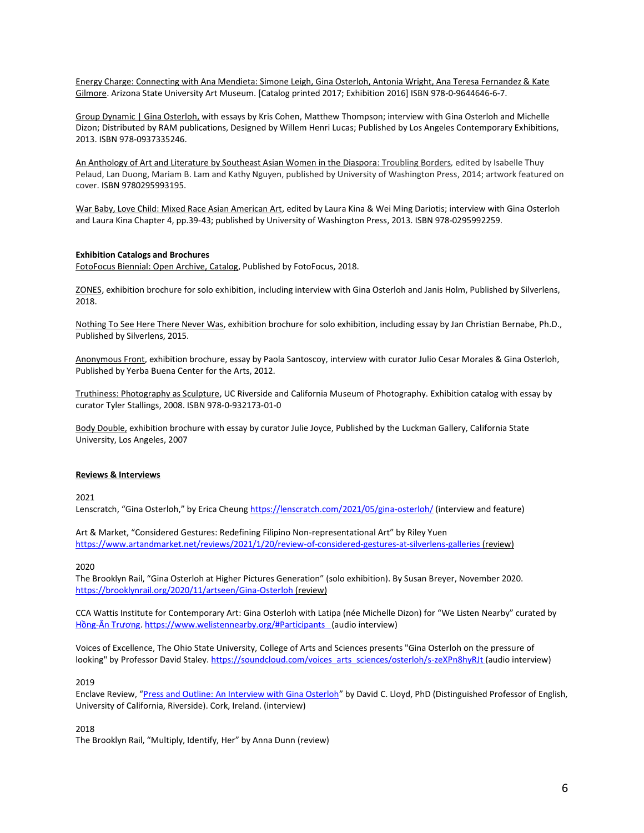Energy Charge: Connecting with Ana Mendieta: Simone Leigh, Gina Osterloh, Antonia Wright, Ana Teresa Fernandez & Kate Gilmore. Arizona State University Art Museum. [Catalog printed 2017; Exhibition 2016] ISBN 978-0-9644646-6-7.

Group Dynamic | Gina Osterloh, with essays by Kris Cohen, Matthew Thompson; interview with Gina Osterloh and Michelle Dizon; Distributed by RAM publications, Designed by Willem Henri Lucas; Published by Los Angeles Contemporary Exhibitions, 2013. ISBN 978-0937335246.

An Anthology of Art and Literature by Southeast Asian Women in the Diaspora: Troubling Borders*,* edited by Isabelle Thuy Pelaud, Lan Duong, Mariam B. Lam and Kathy Nguyen, published by University of Washington Press, 2014; artwork featured on cover. ISBN 9780295993195.

War Baby, Love Child: Mixed Race Asian American Art, edited by Laura Kina & Wei Ming Dariotis; interview with Gina Osterloh and Laura Kina Chapter 4, pp.39-43; published by University of Washington Press, 2013. ISBN 978-0295992259.

#### **Exhibition Catalogs and Brochures**

FotoFocus Biennial: Open Archive, Catalog, Published by FotoFocus, 2018.

ZONES, exhibition brochure for solo exhibition, including interview with Gina Osterloh and Janis Holm, Published by Silverlens, 2018.

Nothing To See Here There Never Was, exhibition brochure for solo exhibition, including essay by Jan Christian Bernabe, Ph.D., Published by Silverlens, 2015.

Anonymous Front, exhibition brochure, essay by Paola Santoscoy, interview with curator Julio Cesar Morales & Gina Osterloh, Published by Yerba Buena Center for the Arts, 2012.

Truthiness: Photography as Sculpture, UC Riverside and California Museum of Photography. Exhibition catalog with essay by curator Tyler Stallings, 2008. ISBN 978-0-932173-01-0

Body Double, exhibition brochure with essay by curator Julie Joyce, Published by the Luckman Gallery, California State University, Los Angeles, 2007

#### **Reviews & Interviews**

2021

Lenscratch, "Gina Osterloh," by Erica Cheung <https://lenscratch.com/2021/05/gina-osterloh/> (interview and feature)

Art & Market, "Considered Gestures: Redefining Filipino Non-representational Art" by Riley Yuen <https://www.artandmarket.net/reviews/2021/1/20/review-of-considered-gestures-at-silverlens-galleries> (review)

2020

The Brooklyn Rail, "Gina Osterloh at Higher Pictures Generation" (solo exhibition). By Susan Breyer, November 2020. <https://brooklynrail.org/2020/11/artseen/Gina-Osterloh> (review)

CCA Wattis Institute for Contemporary Art: Gina Osterloh with Latipa (née Michelle Dizon) for "We Listen Nearby" curated by Hồng-[Ân Trương](https://wattis.org/view?id=876). <https://www.welistennearby.org/#Participants>(audio interview)

Voices of Excellence, The Ohio State University, College of Arts and Sciences presents "Gina Osterloh on the pressure of looking" by Professor David Staley. [https://soundcloud.com/voices\\_arts\\_sciences/osterloh/s-zeXPn8hyRJt](https://soundcloud.com/voices_arts_sciences/osterloh/s-zeXPn8hyRJt) (audio interview)

#### 2019

Enclave Review, "[Press and Outline: An Interview with Gina Osterloh](ttps://ginaosterloh.com/uploads/clipping_node/pdf_preview/5e0cfa77421aa95fdd0bfb4f/2019-EnclaveReview-byDavidLloyd.pdf)" by David C. Lloyd, PhD (Distinguished Professor of English, University of California, Riverside). Cork, Ireland. (interview)

#### 2018

The Brooklyn Rail, "Multiply, Identify, Her" by Anna Dunn (review)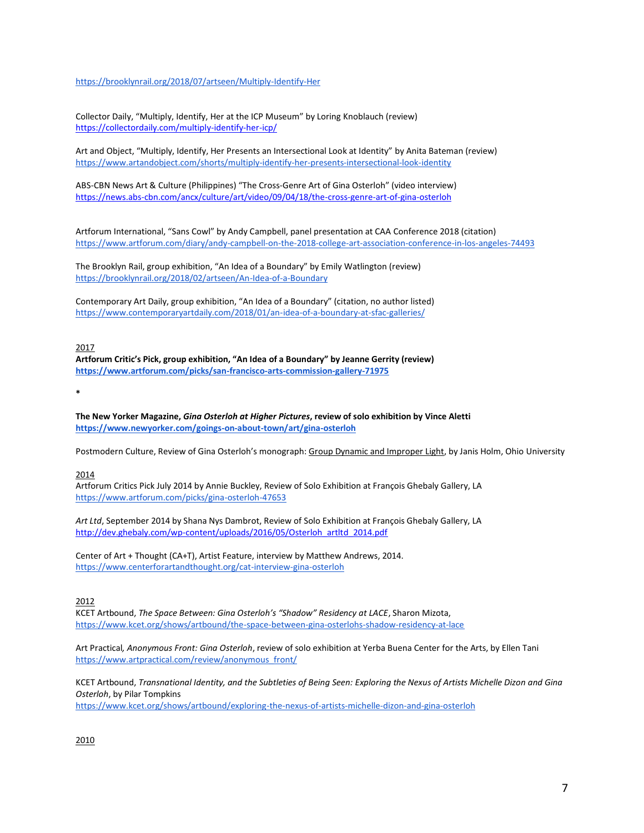<https://brooklynrail.org/2018/07/artseen/Multiply-Identify-Her>

Collector Daily, "Multiply, Identify, Her at the ICP Museum" by Loring Knoblauch (review) <https://collectordaily.com/multiply-identify-her-icp/>

Art and Object, "Multiply, Identify, Her Presents an Intersectional Look at Identity" by Anita Bateman (review) <https://www.artandobject.com/shorts/multiply-identify-her-presents-intersectional-look-identity>

ABS-CBN News Art & Culture (Philippines) "The Cross-Genre Art of Gina Osterloh" (video interview) <https://news.abs-cbn.com/ancx/culture/art/video/09/04/18/the-cross-genre-art-of-gina-osterloh>

Artforum International, "Sans Cowl" by Andy Campbell, panel presentation at CAA Conference 2018 (citation) <https://www.artforum.com/diary/andy-campbell-on-the-2018-college-art-association-conference-in-los-angeles-74493>

The Brooklyn Rail, group exhibition, "An Idea of a Boundary" by Emily Watlington (review) <https://brooklynrail.org/2018/02/artseen/An-Idea-of-a-Boundary>

Contemporary Art Daily, group exhibition, "An Idea of a Boundary" (citation, no author listed) <https://www.contemporaryartdaily.com/2018/01/an-idea-of-a-boundary-at-sfac-galleries/>

2017

**Artforum Critic's Pick, group exhibition, "An Idea of a Boundary" by Jeanne Gerrity (review) <https://www.artforum.com/picks/san-francisco-arts-commission-gallery-71975>**

**\***

**The New Yorker Magazine,** *Gina Osterloh at Higher Pictures***, review of solo exhibition by Vince Aletti <https://www.newyorker.com/goings-on-about-town/art/gina-osterloh>**

Postmodern Culture, Review of Gina Osterloh's monograph: Group Dynamic and Improper Light, by Janis Holm, Ohio University

2014

Artforum Critics Pick July 2014 by Annie Buckley, Review of Solo Exhibition at François Ghebaly Gallery, LA <https://www.artforum.com/picks/gina-osterloh-47653>

*Art Ltd*, September 2014 by Shana Nys Dambrot, Review of Solo Exhibition at François Ghebaly Gallery, LA [http://dev.ghebaly.com/wp-content/uploads/2016/05/Osterloh\\_artltd\\_2014.pdf](http://dev.ghebaly.com/wp-content/uploads/2016/05/Osterloh_artltd_2014.pdf)

Center of Art + Thought (CA+T), Artist Feature, interview by Matthew Andrews, 2014. <https://www.centerforartandthought.org/cat-interview-gina-osterloh>

2012

KCET Artbound, *The Space Between: Gina Osterloh's "Shadow" Residency at LACE*, Sharon Mizota, <https://www.kcet.org/shows/artbound/the-space-between-gina-osterlohs-shadow-residency-at-lace>

Art Practical*, Anonymous Front: Gina Osterloh*, review of solo exhibition at Yerba Buena Center for the Arts, by Ellen Tani [https://www.artpractical.com/review/anonymous\\_front/](https://www.artpractical.com/review/anonymous_front/)

KCET Artbound, *Transnational Identity, and the Subtleties of Being Seen: Exploring the Nexus of Artists Michelle Dizon and Gina Osterloh*, by Pilar Tompkins

<https://www.kcet.org/shows/artbound/exploring-the-nexus-of-artists-michelle-dizon-and-gina-osterloh>